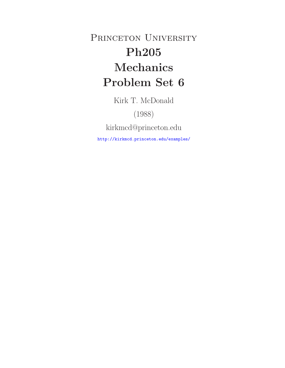PRINCETON UNIVERSITY **Ph205 Mechanics Problem Set 6**

Kirk T. McDonald

(1988)

kirkmcd@princeton.edu

http://kirkmcd.princeton.edu/examples/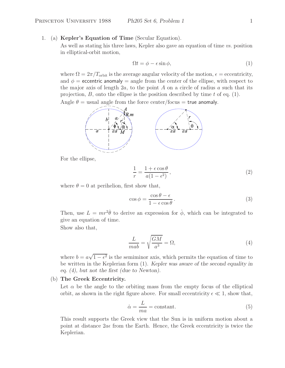1. (a) **Kepler's Equation of Time** (Secular Equation).

As well as stating his three laws, Kepler also gave an equation of time *vs.* position in elliptical-orbit motion,

$$
\Omega t = \phi - \epsilon \sin \phi,\tag{1}
$$

where  $\Omega = 2\pi/T_{\text{orbit}}$  is the average angular velocity of the motion,  $\epsilon =$  eccentricity, and  $\phi$  = eccentric anomaly = angle from the center of the ellipse, with respect to the major axis of length  $2a$ , to the point A on a circle of radius a such that its projection,  $B$ , onto the ellipse is the position described by time t of eq. (1).

Angle  $\theta$  = usual angle from the force center/focus = true anomaly.



For the ellipse,

$$
\frac{1}{r} = \frac{1 + \epsilon \cos \theta}{a(1 - \epsilon^2)},\tag{2}
$$

where  $\theta = 0$  at perihelion, first show that,

$$
\cos \phi = \frac{\cos \theta - \epsilon}{1 - \epsilon \cos \theta}.
$$
\n(3)

Then, use  $L = mr^2\dot{\theta}$  to derive an expression for  $\dot{\phi}$ , which can be integrated to give an equation of time.

Show also that,

$$
\frac{L}{mab} = \sqrt{\frac{GM}{a^3}} = \Omega,
$$
\n(4)

where  $b = a\sqrt{1 - \epsilon^2}$  is the semiminor axis, which permits the equation of time to be written in the Keplerian form (1). *Kepler was aware of the second equality in eq. (4), but not the first (due to Newton).*

# (b) **The Greek Eccentricity.**

Let  $\alpha$  be the angle to the orbiting mass from the empty focus of the elliptical orbit, as shown in the right figure above. For small eccentricity  $\epsilon \ll 1$ , show that,

$$
\dot{\alpha} = \frac{L}{ma} = \text{constant.} \tag{5}
$$

This result supports the Greek view that the Sun is in uniform motion about a point at distance  $2a\epsilon$  from the Earth. Hence, the Greek eccentricity is twice the Keplerian.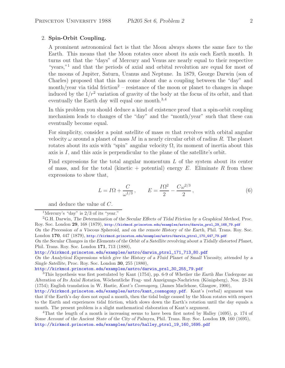## 2. **Spin-Orbit Coupling.**

A prominent astronomical fact is that the Moon always shows the same face to the Earth. This means that the Moon rotates once about its axis each Earth month. It turns out that the "days" of Mercury and Venus are nearly equal to their respective "years,"<sup>1</sup> and that the periods of axial and orbital revolution are equal for most of the moons of Jupiter, Saturn, Uranus and Neptune. In 1879, George Darwin (son of Charles) proposed that this has come about due a coupling between the "day" and month/year via tidal friction<sup>2</sup> – resistance of the moon or planet to changes in shape induced by the  $1/r^2$  variation of gravity of the body at the focus of its orbit, and that eventually the Earth day will equal one month.<sup>3,4</sup>

In this problem you should deduce a kind of existence proof that a spin-orbit coupling mechanism leads to changes of the "day" and the "month/year" such that these can eventually become equal.

For simplicity, consider a point satellite of mass  $m$  that revolves with orbital angular velocity  $\omega$  around a planet of mass M in a nearly circular orbit of radius R. The planet rotates about its axis with "spin" angular velocity  $\Omega$ , its moment of inertia about this axis is  $I$ , and this axis is perpendicular to the plane of the satellite's orbit.

Find expressions for the total angular momentum  $L$  of the system about its center of mass, and for the total (kinetic + potential) energy  $E$ . Eliminate R from these expressions to show that,

$$
L = I\Omega + \frac{C}{\omega^{1/3}}, \qquad E = \frac{I\Omega^2}{2} - \frac{C\omega^{2/3}}{2}, \qquad (6)
$$

and deduce the value of C.

London **170**, 447 (1879), http://kirkmcd.princeton.edu/examples/astro/darwin\_ptrsl\_170\_447\_79.pdf *On the Secular Changes in the Elements of the Orbit of a Satellite revolving about a Tidally distorted Planet*, Phil. Trans. Roy. Soc. London **171**, 713 (1880),

http://kirkmcd.princeton.edu/examples/astro/darwin\_ptrsl\_171\_713\_80.pdf

*On the Analytical Expressions which give the History of a Fluid Planet of Small Viscosity, attended by a Single Satellite*, Proc. Roy. Soc. London **30**, 255 (1880),

http://kirkmcd.princeton.edu/examples/astro/darwin\_prsl\_30\_255\_79.pdf

<sup>3</sup>This hypothesis was first postulated by Kant (1754), pp. 6-9 of *Whether the Earth Has Undergone an Alteration of Its Axial Rotation*, W¨ochentliche Frag- und Anzeigungs-Nachricten (K¨onigsberg), Nos. 23-24 (1754); English translation in W. Hastie, *Kant's Cosmogony*, (James Maclehose, Glasgow, 1900),

http://kirkmcd.princeton.edu/examples/astro/kant\_cosmogony.pdf. Kant's (verbal) argument was that if the Earth's day does not equal a month, then the tidal bulge caused by the Moon rotates with respect to the Earth and experiences tidal friction, which slows down the Earth's rotation until the day equals a month. The present problem is a slight mathematical elaboration of Kant's argument.

<sup>4</sup>That the length of a month is increasing seems to have been first noted by Halley (1695), p. 174 of *Some Account of the Ancient State of the City of Palmyra*, Phil. Trans. Roy. Soc. London **19**, 160 (1695), http://kirkmcd.princeton.edu/examples/astro/halley\_ptrsl\_19\_160\_1695.pdf

<sup>&</sup>lt;sup>1</sup>Mercury's "day" is  $2/3$  of its "year."

<sup>2</sup>G.H. Darwin, *The Determination of the Secular Effects of Tidal Friction by a Graphical Method*, Proc. Roy. Soc. London **29**, 168 (1879), http://kirkmcd.princeton.edu/examples/astro/darwin\_prsl\_29\_168\_79.pdf *On the Precession of a Viscous Spheroid, and on the remote History of the Earth*, Phil. Trans. Roy. Soc.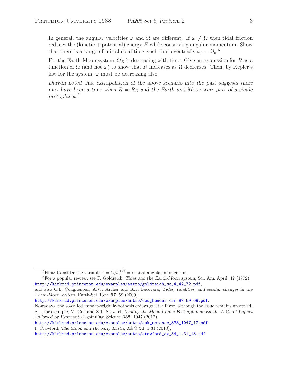In general, the angular velocities  $\omega$  and  $\Omega$  are different. If  $\omega \neq \Omega$  then tidal friction reduces the (kinetic + potential) energy  $E$  while conserving angular momentum. Show that there is a range of initial conditions such that eventually  $\omega_0 = \Omega_0$ .<sup>5</sup>

For the Earth-Moon system,  $\Omega_E$  is decreasing with time. Give an expression for R as a function of  $\Omega$  (and not  $\omega$ ) to show that R increases as  $\Omega$  decreases. Then, by Kepler's law for the system,  $\omega$  must be decreasing also.

*Darwin noted that extrapolation of the above scenario into the past suggests there may have been a time when*  $R = R_E$  *and the Earth and Moon were part of a single protoplanet.*<sup>6</sup>

<sup>&</sup>lt;sup>5</sup>Hint: Consider the variable  $x = C/\omega^{1/3}$  = orbital angular momentum.

<sup>6</sup>For a popular review, see P. Goldreich, *Tides and the Earth-Moon system*, Sci. Am. April, 42 (1972), http://kirkmcd.princeton.edu/examples/astro/goldreich\_sa\_4\_42\_72.pdf,

and also C.L. Coughenour, A.W. Archer and K.J. Lacovara, *Tides, tidalities, and secular changes in the Earth-Moon system*, Earth-Sci. Rev. **97**, 59 (2009),

http://kirkmcd.princeton.edu/examples/astro/coughenour\_esr\_97\_59\_09.pdf.

Nowadays, the so-called impact-origin hypothesis enjoys greater favor, although the issue remains unsettled. See, for example, M. Cuk and S.T. Stewart, *Making the Moon from a Fast-Spinning Earth: A Giant Impact Followed by Resonant Despinning*, Science **338**, 1047 (2012),

http://kirkmcd.princeton.edu/examples/astro/cuk\_science\_338\_1047\_12.pdf,

I. Crawford, *The Moon and the early Earth*, A&G **54**, 1.31 (2013),

http://kirkmcd.princeton.edu/examples/astro/crawford\_ag\_54\_1.31\_13.pdf.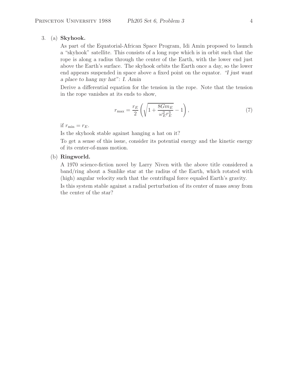## 3. (a) **Skyhook.**

As part of the Equatorial-African Space Program, Idi Amin proposed to launch a "skyhook" satellite. This consists of a long rope which is in orbit such that the rope is along a radius through the center of the Earth, with the lower end just above the Earth's surface. The skyhook orbits the Earth once a day, so the lower end appears suspended in space above a fixed point on the equator. *"I just want a place to hang my hat": I. Amin*

Derive a differential equation for the tension in the rope. Note that the tension in the rope vanishes at its ends to show,

$$
r_{\max} = \frac{r_E}{2} \left( \sqrt{1 + \frac{8Gm_E}{\omega_E^2 r_E^3}} - 1 \right),
$$
 (7)

if  $r_{\min} = r_E$ .

Is the skyhook stable against hanging a hat on it?

To get a sense of this issue, consider its potential energy and the kinetic energy of its center-of-mass motion.

### (b) **Ringworld.**

A 1970 science-fiction novel by Larry Niven with the above title considered a band/ring about a Sunlike star at the radius of the Earth, which rotated with (high) angular velocity such that the centrifugal force equaled Earth's gravity.

Is this system stable against a radial perturbation of its center of mass away from the center of the star?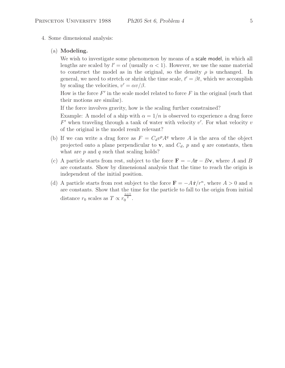- 4. Some dimensional analysis:
	- (a) **Modeling.**

We wish to investigate some phenomenon by means of a scale model, in which all lengths are scaled by  $l' = \alpha l$  (usually  $\alpha < 1$ ). However, we use the same material to construct the model as in the original, so the density  $\rho$  is unchanged. In general, we need to stretch or shrink the time scale,  $t' = \beta t$ , which we accomplish by scaling the velocities,  $v' = \alpha v / \beta$ .

How is the force  $F'$  in the scale model related to force  $F$  in the original (such that their motions are similar).

If the force involves gravity, how is the scaling further constrained?

Example: A model of a ship with  $\alpha = 1/n$  is observed to experience a drag force  $F'$  when traveling through a tank of water with velocity  $v'$ . For what velocity  $v$ of the original is the model result relevant?

- (b) If we can write a drag force as  $F = C_d v^p A^q$  where A is the area of the object projected onto a plane perpendicular to **v**, and  $C_d$ , p and q are constants, then what are  $p$  and  $q$  such that scaling holds?
- (c) A particle starts from rest, subject to the force  $\mathbf{F} = -A\mathbf{r} B\mathbf{v}$ , where A and B are constants. Show by dimensional analysis that the time to reach the origin is independent of the initial position.
- (d) A particle starts from rest subject to the force  $\mathbf{F} = -A\hat{\mathbf{r}}/r^n$ , where  $A > 0$  and n are constants. Show that the time for the particle to fall to the origin from initial distance  $r_0$  scales as  $T \propto r_0^{\frac{n+1}{2}}$ .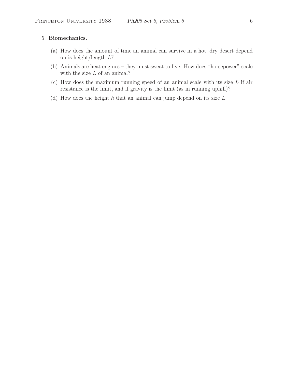## 5. **Biomechanics.**

- (a) How does the amount of time an animal can survive in a hot, dry desert depend on is height/length L?
- (b) Animals are heat engines they must sweat to live. How does "horsepower" scale with the size  $L$  of an animal?
- (c) How does the maximum running speed of an animal scale with its size  $L$  if air resistance is the limit, and if gravity is the limit (as in running uphill)?
- (d) How does the height  $h$  that an animal can jump depend on its size  $L$ .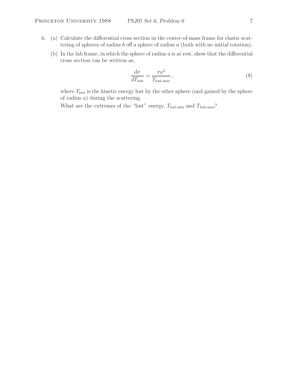- 6. (a) Calculate the differential cross section in the center-of-mass frame for elastic scattering of spheres of radius  $b$  off a sphere of radius  $a$  (both with no initial rotation).
	- (b) In the lab frame, in which the sphere of radius  $a$  is at rest, show that the differential cross section can be written as,

$$
\frac{d\sigma}{dT_{\text{lost}}} = \frac{\pi a^2}{T_{\text{lost,max}}},\tag{8}
$$

where  $T_{\text{lost}}$  is the kinetic energy lost by the other sphere (and gained by the sphere of radius  $a$ ) during the scattering.

What are the extremes of the "lost" energy,  $T_{\text{lost,min}}$  and  $T_{\text{lost,max}}$ ?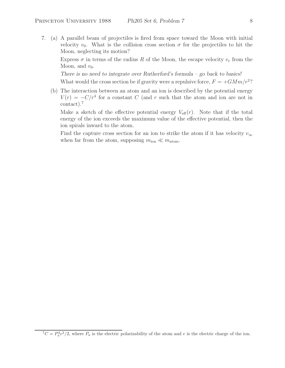7. (a) A parallel beam of projectiles is fired from space toward the Moon with initial velocity  $v_0$ . What is the collision cross section  $\sigma$  for the projectiles to hit the Moon, neglecting its motion?

Express  $\sigma$  in terms of the radius R of the Moon, the escape velocity  $v_e$  from the Moon, and  $v_0$ .

*There is no need to integrate over Rutherford's formula – go back to basics!*

What would the cross section be if gravity were a repulsive force,  $F = +GMm/r^2$ ?

(b) The interaction between an atom and an ion is described by the potential energy  $V(r) = -C/r^4$  for a constant C (and r such that the atom and ion are not in contact).<sup>7</sup>

Make a sketch of the effective potential energy  $V_{\text{eff}}(r)$ . Note that if the total energy of the ion exceeds the maximum value of the effective potential, then the ion spirals inward to the atom.

Find the capture cross section for an ion to strike the atom if it has velocity  $v_{\infty}$ when far from the atom, supposing  $m_{\text{ion}} \ll m_{\text{atom}}$ .

 ${}^{7}C = P_{a}^{2}e^{2}/2$ , where  $P_{a}$  is the electric polarizability of the atom and e is the electric charge of the ion.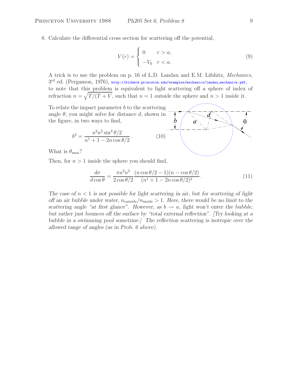8. Calculate the differential cross section for scattering off the potential,

$$
V(r) = \begin{cases} 0 & r > a, \\ -V_0 & r < a. \end{cases}
$$
 (9)

A trick is to use the problem on p. 16 of L.D. Landau and E.M. Lifshitz, *Mechanics*,  $3^{\text{rd}}$  ed. (Pergamon, 1976), http://kirkmcd.princeton.edu/examples/mechanics/landau\_mechanics.pdf, to note that this problem is equivalent to light scattering off a sphere of index of refraction  $n = \sqrt{T/(T+V)}$ , such that  $n = 1$  outside the sphere and  $n > 1$  inside it.

To relate the impact parameter  $b$  to the scattering angle  $\theta$ , you might solve for distance  $d$ , shown in the figure, in two ways to find,

$$
b^{2} = \frac{a^{2}n^{2}\sin^{2}\theta/2}{n^{1} + 1 - 2n\cos\theta/2}.
$$
 (10)

What is  $\theta_{\text{max}}$ ?

Then, for  $n > 1$  inside the sphere you should find,

$$
\frac{d\sigma}{d\cos\theta} = \frac{\pi a^2 n^2}{2\cos\theta/2} \frac{(n\cos\theta/2 - 1)(n - \cos\theta/2)}{(n^1 + 1 - 2n\cos\theta/2)^2}.
$$
(11)

*The case of* n < 1 *is not possible for light scattering in air, but for scattering of light off an air bubble under water,*  $n_{\text{outside}}/n_{\text{inside}} > 1$ . Here, there would be no limit to the *scattering angle "at first glance". However, as*  $b \rightarrow a$ , *light won't enter the bubble, but rather just bounces off the surface by "total external reflection". [Try looking at a bubble in a swimming pool sometime.] The reflection scattering is isotropic over the allowed range of angles (as in Prob. 6 above).*

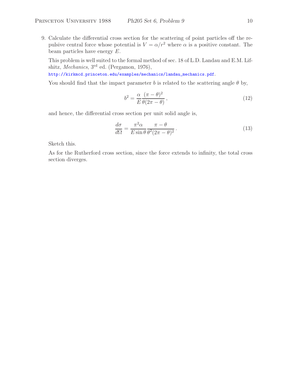9. Calculate the differential cross section for the scattering of point particles off the repulsive central force whose potential is  $V = \alpha/r^2$  where  $\alpha$  is a positive constant. The beam particles have energy E.

This problem is well suited to the formal method of sec. 18 of L.D. Landau and E.M. Lifshitz, *Mechanics*, 3rd ed. (Pergamon, 1976),

http://kirkmcd.princeton.edu/examples/mechanics/landau\_mechanics.pdf.

You should find that the impact parameter b is related to the scattering angle  $\theta$  by,

$$
b^2 = \frac{\alpha}{E} \frac{(\pi - \theta)^2}{\theta(2\pi - \theta)},
$$
\n(12)

and hence, the differential cross section per unit solid angle is,

$$
\frac{d\sigma}{d\Omega} = \frac{\pi^2 \alpha}{E \sin \theta} \frac{\pi - \theta}{\theta^2 (2\pi - \theta)^2}.
$$
\n(13)

Sketch this.

As for the Rutherford cross section, since the force extends to infinity, the total cross section diverges.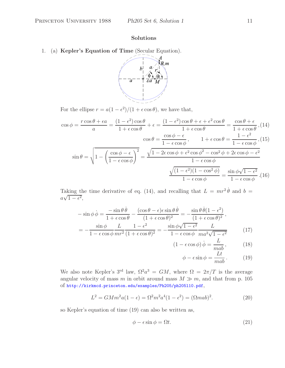## **Solutions**

1. (a) **Kepler's Equation of Time** (Secular Equation).



For the ellipse  $r = a(1 - \epsilon^2)/(1 + \epsilon \cos \theta)$ , we have that,

$$
\cos \phi = \frac{r \cos \theta + \epsilon a}{a} = \frac{(1 - \epsilon^2) \cos \theta}{1 + \epsilon \cos \theta} + \epsilon = \frac{(1 - \epsilon^2) \cos \theta + \epsilon + \epsilon^2 \cos \theta}{1 + \epsilon \cos \theta} = \frac{\cos \theta + \epsilon}{1 + \epsilon \cos \theta}, (14)
$$

$$
\cos \theta = \frac{\cos \phi - \epsilon}{1 - \epsilon \cos \phi}, \qquad 1 + \epsilon \cos \theta = \frac{1 - \epsilon^2}{1 - \epsilon \cos \phi}, (15)
$$

$$
\sin \theta = \sqrt{1 - \left(\frac{\cos \phi - \epsilon}{1 - \epsilon \cos \phi}\right)^2} = \frac{\sqrt{1 - 2\epsilon \cos \phi + \epsilon^2 \cos \phi^2 - \cos^2 \phi + 2\epsilon \cos \phi - \epsilon^2}}{1 - \epsilon \cos \phi}
$$

$$
\frac{\sqrt{(1 - \epsilon^2)(1 - \cos^2 \phi)}}{1 - \epsilon \cos \phi} = \frac{\sin \phi \sqrt{1 - \epsilon^2}}{1 - \epsilon \cos \phi}.
$$
(16)

Taking the time derivative of eq. (14), and recalling that  $L = mr^2 \dot{\theta}$  and  $b =$  $a\sqrt{1-\epsilon^2}$ ,

$$
-\sin\phi\dot{\phi} = \frac{-\sin\theta\dot{\theta}}{1+\epsilon\cos\theta} - \frac{(\cos\theta-\epsilon)\epsilon\sin\theta\dot{\theta}}{(1+\epsilon\cos\theta)^2} = -\frac{\sin\theta\dot{\theta}(1-\epsilon^2)}{(1+\epsilon\cos\theta)^2},
$$

$$
= -\frac{\sin\phi}{1-\epsilon\cos\phi}\frac{L}{mr^2}\frac{1-\epsilon^2}{(1+\epsilon\cos\theta)^2} = -\frac{\sin\phi\sqrt{1-\epsilon^2}}{1-\epsilon\cos\phi}\frac{L}{ma^2\sqrt{1-\epsilon^2}} \tag{17}
$$

$$
(1 - \epsilon \cos \phi) \dot{\phi} = \frac{L}{mab}, \qquad (18)
$$

$$
\phi - \epsilon \sin \phi = \frac{Lt}{mab} \,. \tag{19}
$$

We also note Kepler's 3<sup>rd</sup> law,  $\Omega^2 a^3 = GM$ , where  $\Omega = 2\pi/T$  is the average angular velocity of mass m in orbit around mass  $M \gg m$ , and that from p. 105 of http://kirkmcd.princeton.edu/examples/Ph205/ph205l10.pdf,

$$
L^{2} = GMm^{2}a(1 - \epsilon) = \Omega^{2}m^{2}a^{4}(1 - \epsilon^{2}) = (\Omega mab)^{2}.
$$
 (20)

so Kepler's equation of time (19) can also be written as,

$$
\phi - \epsilon \sin \phi = \Omega t. \tag{21}
$$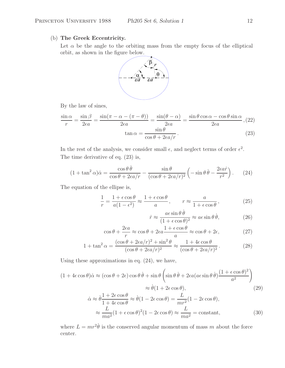# (b) **The Greek Eccentricity.**

Let  $\alpha$  be the angle to the orbiting mass from the empty focus of the elliptical orbit, as shown in the figure below.



By the law of sines,

$$
\frac{\sin \alpha}{r} = \frac{\sin \beta}{2\epsilon a} = \frac{\sin(\pi - \alpha - (\pi - \theta))}{2\epsilon a} = \frac{\sin(\theta - \alpha)}{2\epsilon a} = \frac{\sin \theta \cos \alpha - \cos \theta \sin \alpha}{2\epsilon a}, (22)
$$

$$
\tan \alpha = \frac{\sin \theta}{\cos \theta + 2\epsilon a/r}.
$$
(23)

In the rest of the analysis, we consider small  $\epsilon$ , and neglect terms of order  $\epsilon^2$ . The time derivative of eq. (23) is,

$$
(1 + \tan^2 \alpha)\dot{\alpha} = \frac{\cos \theta \,\dot{\theta}}{\cos \theta + 2\epsilon a/r} - \frac{\sin \theta}{(\cos \theta + 2\epsilon a/r)^2} \left( -\sin \theta \,\dot{\theta} - \frac{2\epsilon a\dot{r}}{r^2} \right). \tag{24}
$$

The equation of the ellipse is,

$$
\frac{1}{r} = \frac{1 + \epsilon \cos \theta}{a(1 - \epsilon^2)} \approx \frac{1 + \epsilon \cos \theta}{a}, \qquad r \approx \frac{a}{1 + \epsilon \cos \theta},
$$
(25)

$$
\dot{r} \approx \frac{a\epsilon\sin\theta\,\dot{\theta}}{(1+\epsilon\cos\theta)^2} \approx a\epsilon\sin\theta\,\dot{\theta},\qquad(26)
$$

$$
\cos\theta + \frac{2\epsilon a}{r} \approx \cos\theta + 2\epsilon a \frac{1 + \epsilon\cos\theta}{a} \approx \cos\theta + 2\epsilon,\tag{27}
$$

$$
1 + \tan^2 \alpha = \frac{(\cos \theta + 2\epsilon a/r)^2 + \sin^2 \theta}{(\cos \theta + 2\epsilon a/r)^2} \approx \frac{1 + 4\epsilon \cos \theta}{(\cos \theta + 2\epsilon a/r)^2}.
$$
 (28)

Using these approximations in eq. (24), we have,

$$
(1 + 4\epsilon \cos \theta)\dot{\alpha} \approx (\cos \theta + 2\epsilon)\cos \theta \dot{\theta} + \sin \theta \left(\sin \theta \dot{\theta} + 2\epsilon a (a\epsilon \sin \theta \dot{\theta}) \frac{(1 + \epsilon \cos \theta)^2}{a^2}\right)
$$

$$
\approx \dot{\theta}(1 + 2\epsilon \cos \theta), \tag{29}
$$

$$
\dot{\alpha} \approx \dot{\theta} \frac{1 + 2\epsilon \cos \theta}{1 + 4\epsilon \cos \theta} \approx \dot{\theta} (1 - 2\epsilon \cos \theta) = \frac{L}{mr^2} (1 - 2\epsilon \cos \theta),
$$
  

$$
\approx \frac{L}{ma^2} (1 + \epsilon \cos \theta)^2 (1 - 2\epsilon \cos \theta) \approx \frac{L}{ma^2} = \text{constant},
$$
 (30)

where  $L = mr^2\dot{\theta}$  is the conserved angular momentum of mass m about the force center.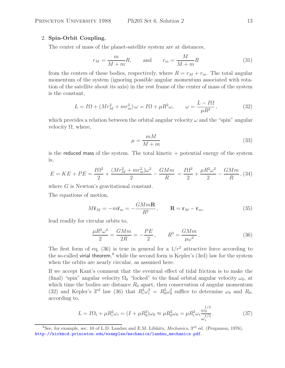# 2. **Spin-Orbit Coupling.**

The center of mass of the planet-satellite system are at distances,

$$
r_M = \frac{m}{M+m}R, \qquad \text{and} \qquad r_m = \frac{M}{M+m}R \tag{31}
$$

from the centers of these bodies, respectively, where  $R = r_M + r_m$ . The total angular momentum of the system (ignoring possible angular momentum associated with rotation of the satellite about its axis) in the rest frame of the center of mass of the system is the constant,

$$
L = I\Omega + (Mr_M^2 + mr_m^2)\,\omega = I\Omega + \mu R^2 \omega, \qquad \omega = \frac{L - I\Omega}{\mu R^2},\tag{32}
$$

which provides a relation between the orbital angular velocity  $\omega$  and the "spin" angular velocity  $Ω$ , where,

$$
\mu = \frac{mM}{M+m} \tag{33}
$$

is the reduced mass of the system. The total kinetic  $+$  potential energy of the system is,

$$
E = KE + PE = \frac{I\Omega^2}{2} + \frac{(Mr_M^2 + mr_m^2)\omega^2}{2} - \frac{GMm}{R} = \frac{I\Omega^2}{2} + \frac{\mu R^2 \omega^2}{2} - \frac{GMm}{R},
$$
(34)

where G is Newton's gravitational constant.

The equations of motion,

$$
M\ddot{\mathbf{r}}_M = -m\ddot{\mathbf{r}}_m = -\frac{GMm\mathbf{R}}{R^2}, \qquad \mathbf{R} = \mathbf{r}_M - \mathbf{r}_m,\tag{35}
$$

lead readily for circular orbits to,

$$
\frac{\mu R^2 \omega^2}{2} = \frac{GMm}{2R} = -\frac{PE}{2}, \qquad R^3 = \frac{GMm}{\mu \omega^2}.
$$
 (36)

The first form of eq. (36) is true in general for a  $1/r^2$  attractive force according to the so-called virial theorem, <sup>8</sup> while the second form is Kepler's (3rd) law for the system when the orbits are nearly circular, as assumed here.

If we accept Kant's comment that the eventual effect of tidal friction is to make the (final) "spin" angular velocity  $\Omega_0$  "locked" to the final orbital angular velocity  $\omega_0$ , at which time the bodies are distance  $R_0$  apart, then conservation of angular momentum (32) and Kepler's 3<sup>rd</sup> law (36) that  $R_i^3 \omega_i^2 = R_0^3 \omega_0^2$  suffice to determine  $\omega_0$  and  $R_0$ , according to,

$$
L = I\Omega_i + \mu R_i^2 \omega_i = (I + \mu R_0^2)\omega_0 \approx \mu R_0^2 \omega_0 = \mu R_i^2 \omega_i \frac{\omega_0^{1/3}}{\omega_i^{1/3}}.
$$
 (37)

<sup>8</sup>See, for example, sec. 10 of L.D. Landau and E.M. Lifshitz, *Mechanics*, 3rd ed. (Pergamon, 1976), http://kirkmcd.princeton.edu/examples/mechanics/landau\_mechanics.pdf.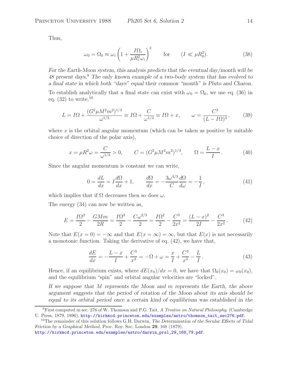Thus,

$$
\omega_0 = \Omega_0 \approx \omega_i \left( 1 + \frac{I \Omega_i}{\mu R_i^2 \omega_i} \right)^2 \qquad \text{for} \qquad (I \ll \mu R_0^2). \tag{38}
$$

*For the Earth-Moon system, this analysis predicts that the eventual day/month will be 48 present days,*<sup>9</sup> *The only known example of a two-body system that has evolved to a final state in which both "days" equal their common "month" is Pluto and Charon.* To establish analytically that a final state can exist with  $\omega_0 = \Omega_0$ , we use eq. (36) in eq.  $(32)$  to write,  $10$ 

$$
L = I\Omega + \frac{(G^2 \mu M^2 m^2)^{1/3}}{\omega^{1/3}} \equiv I\Omega + \frac{C}{\omega^{1/3}} \equiv I\Omega + x, \qquad \omega = \frac{C^3}{(L - I\Omega)^3}, \qquad (39)
$$

where  $x$  is the orbital angular momentum (which can be taken as positive by suitable choice of direction of the polar axis),

$$
x = \mu R^2 \omega = \frac{C}{\omega^{1/3}} > 0, \qquad C = (G^2 \mu M^2 m^2)^{1/3}, \qquad \Omega = \frac{L - x}{I}.
$$
 (40)

Since the angular momentum is constant we can write,

$$
0 = \frac{dL}{dx} = I\frac{d\Omega}{dx} + 1, \qquad \frac{d\Omega}{dx} = -\frac{3\omega^{4/3}}{C}\frac{d\Omega}{d\omega} = -\frac{1}{I},\tag{41}
$$

which implies that if  $\Omega$  decreases then so does  $\omega$ .

The energy (34) can now be written as,

$$
E = \frac{I\Omega^2}{2} - \frac{GMm}{2R} = \frac{I\Omega^2}{2} - \frac{C\omega^{2/3}}{2} = \frac{I\Omega^2}{2} - \frac{C^3}{2x^2} = \frac{(L-x)^2}{2I} - \frac{C^3}{2x^2}.
$$
 (42)

Note that  $E(x = 0) = -\infty$  and that  $E(x = \infty) = \infty$ , but that  $E(x)$  is not necessarily a monotonic function. Taking the derivative of eq. (42), we have that,

$$
\frac{dE}{dx} = -\frac{L-x}{I} + \frac{C^3}{x^3} = -\Omega + \omega = \frac{x}{I} + \frac{C^3}{x^3} - \frac{L}{I}.
$$
\n(43)

Hence, if an equilibrium exists, where  $dE(x_0)/dx = 0$ , we have that  $\Omega_0(x_0) = \omega_0(x_0)$ , and the equilibrium "spin" and orbital angular velocities are "locked".

*If we suppose that* M *represents the Moon and* m *represents the Earth, the above argument suggests that the period of rotation of the Moon about its axis should be equal to its orbital period once a certain kind of equilibrium was established in the*

http://kirkmcd.princeton.edu/examples/astro/darwin\_prsl\_29\_168\_79.pdf.

<sup>&</sup>lt;sup>9</sup>First computed in sec. 276 of W. Thomson and P.G. Tait, *A Treatise on Natural Philosophy*, (Cambridge U. Press, 1879, 1896), http://kirkmcd.princeton.edu/examples/astro/thomson\_tait\_sec276.pdf.

<sup>&</sup>lt;sup>10</sup>The remainder of this solution follows G.H. Darwin, *The Determination of the Secular Effects of Tidal Friction by a Graphical Method*, Proc. Roy. Soc. London **29**, 168 (1879),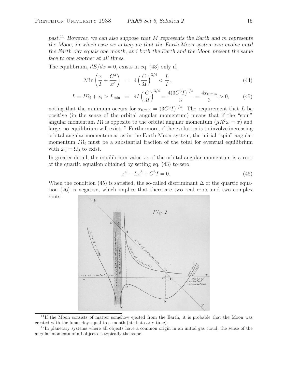*past.*<sup>11</sup> *However, we can also suppose that* M *represents the Earth and* m *represents the Moon, in which case we anticipate that the Earth-Moon system can evolve until the Earth day equals one month, and both the Earth and the Moon present the same face to one another at all times.*

The equilibrium,  $dE/dx = 0$ , exists in eq. (43) only if,

$$
\text{Min}\left(\frac{x}{I} + \frac{C^3}{x^3}\right) \;\; = \;\; 4\left(\frac{C}{3I}\right)^{3/4} < \frac{L}{I} \,,\tag{44}
$$

$$
L = I\Omega_i + x_i > L_{\min} = 4I\left(\frac{C}{3I}\right)^{3/4} = \frac{4(3C^3I)^{1/4}}{3} = \frac{4x_{0,\min}}{3} > 0,
$$
 (45)

noting that the minimum occurs for  $x_{0,\text{min}} = (3C^3I)^{1/4}$ . The requirement that L be positive (in the sense of the orbital angular momentum) means that if the "spin" angular momentum I $\Omega$  is opposite to the orbital angular momentum  $(\mu R^2 \omega = x)$  and large, no equilibrium will exist.<sup>12</sup> Furthermore, if the evolution is to involve increasing orbital angular momentum  $x$ , as in the Earth-Moon system, the initial "spin" angular momentum  $I\Omega_i$  must be a substantial fraction of the total for eventual equilibrium with  $\omega_0 = \Omega_0$  to exist.

In greater detail, the equilibrium value  $x<sub>0</sub>$  of the orbital angular momentum is a root of the quartic equation obtained by setting eq. (43) to zero,

$$
x^4 - Lx^3 + C^3I = 0.
$$
 (46)

When the condition (45) is satisfied, the so-called discriminant  $\Delta$  of the quartic equation (46) is negative, which implies that there are two real roots and two complex roots.



<sup>11</sup>If the Moon consists of matter somehow ejected from the Earth, it is probable that the Moon was created with the lunar day equal to a month (at that early time).

 $12$ In planetary systems where all objects have a common origin in an initial gas cloud, the sense of the angular momenta of all objects is typically the same.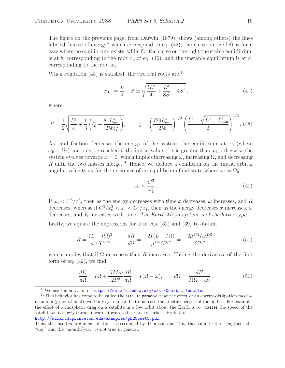The figure on the previous page, from Darwin (1879), shows (among others) the lines labeled "curve of energy" which correspond to eq. (42); the curve on the left is for a case where no equilibrium exists, while for the curve on the right the stable equilibrium is at b, corresponding to the root  $x_0$  of eq. (46), and the unstable equilibrium is at a, corresponding to the root  $x_1$ .

When condition  $(45)$  is satisfied, the two real roots are,  $^{13}$ 

$$
x_{0,1} = \frac{L}{4} - S \pm \sqrt{\frac{3L^2}{4} + \frac{L^3}{8S} - 4S^2},\tag{47}
$$

where,

$$
S = \frac{1}{2} \sqrt{\frac{L^2}{4} + \frac{1}{3} \left( Q + \frac{81 L_{\text{min}}^4}{256 Q} \right)}, \qquad Q = \left( \frac{729 L_{\text{min}}^4}{256} \right)^{1/3} \left( \frac{L^2 + \sqrt{L^4 - L_{\text{min}}^4}}{2} \right)^{1/3}.
$$
(48)

As tidal friction decreases the energy of the system, the equilibrium at  $x_0$  (where  $\omega_0 = \Omega_0$  can only be reached if the initial value of x is greater than  $x_1$ ; otherwise the system evolves towards  $x = 0$ , which implies increasing  $\omega$ , increasing  $\Omega$ , and decreasing  $R$  until the two masses merge.<sup>14</sup> Hence, we deduce a condition on the initial orbital angular velocity  $\omega_i$  for the existence of an equilibrium final state where  $\omega_0 = \Omega_0$ ,

$$
\omega_i < \frac{C^3}{x_1^3} \,. \tag{49}
$$

If  $\omega_i < C^3/x_0^3$ , then as the energy decreases with time x decreases,  $\omega$  increases, and R decreases; whereas if  $C^3/x_0^3 < \omega_i < C^3/x_1^3$ , then as the energy decreases x increases,  $\omega$ decreases, and R increases with time. *The Earth-Moon system is of the latter type.*

Lastly, we equate the expressions for  $\omega$  in eqs. (32) and (39) to obtain,

$$
R = \frac{(L - I\Omega)^2}{\mu^{1/2}C^{3/2}}, \qquad \frac{dR}{d\Omega} = -\frac{2I(L - I\Omega)}{\mu^{1/2}C^{3/2}} = -\frac{2\mu^{1/2}I\omega R^2}{C^{3/2}},
$$
(50)

which implies that if  $\Omega$  decreases then R increases. Taking the derivative of the first form of eq.  $(42)$ , we find,

$$
\frac{dE}{d\Omega} = I\Omega + \frac{GMm}{2R^2}\frac{dR}{d\Omega} = I(\Omega - \omega), \qquad d\Omega = \frac{dE}{I(\Omega - \omega)}.
$$
\n(51)

 $13$ We use the notation of https://en.wikipedia.org/wiki/Quartic\_function

 $14$ This behavior has come to be called the satellite paradox, that the effect of an energy-dissipation mechanism in a (gravitational) two-body system can be to increase the kinetic energies of the bodies. For example, the effect of atmospheric drag on a satellite in a low orbit about the Earth is to increase the speed of the satellite as it slowly spirals inwards towards the Earth's surface, Prob. 5 of http://kirkmcd.princeton.edu/examples/ph205set5.pdf.

Thus, the intuitive argument of Kant, as seconded by Thomson and Tait, that tidal friction lengthens the "day" and the "month/year" is not true in general.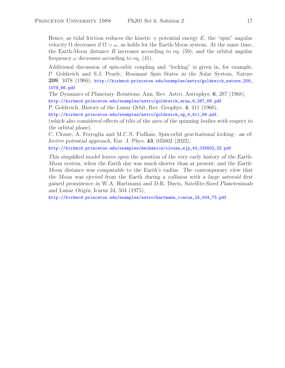Hence, as tidal friction reduces the kinetic + potential energy  $E$ , the "spin" angular velocity  $\Omega$  decreases if  $\Omega > \omega$ , as holds for the Earth-Moon system. At the same time, the Earth-Moon distance R increases according to eq.  $(50)$ , and the orbital angular frequency  $\omega$  decreases according to eq. (41).

Additional discussion of spin-orbit coupling and "locking" is given in, for example, P. Goldreich and S.J. Pearle, *Resonant Spin States in the Solar System*, Nature **209**, 1078 (1966), http://kirkmcd.princeton.edu/examples/astro/goldreich\_nature\_209\_ 1078\_66.pdf

*The Dynamics of Planetary Rotations*, Ann. Rev. Astro. Astrophys. **6**, 287 (1968), http://kirkmcd.princeton.edu/examples/astro/goldreich\_araa\_6\_287\_68.pdf

P. Goldreich, *History of the Lunar Orbit*, Rev. Geophys. **4**, 411 (1966),

http://kirkmcd.princeton.edu/examples/astro/goldreich\_rg\_4\_411\_66.pdf,

(*which also considered effects of tilts of the axes of the spinning bodies with respect to the orbital plane*).

C. Clouse, A. Ferroglia and M.C.N. Fiolhais, *Spin-orbit gravitational locking—an effective potential approach*, Eur. J. Phys. **43**, 035602 (2022),

http://kirkmcd.princeton.edu/examples/mechanics/clouse\_ejp\_43\_035602\_22.pdf

*This simplified model leaves open the question of the very early history of the Earth-Moon system, when the Earth day was much shorter than at present, and the Earth-Moon distance was comparable to the Earth's radius. The contemporary view that the Moon was ejected from the Earth during a collision with a large asteroid first gained prominence in* W.A. Hartmann and D.R. Davis, *Satellite-Sized Planetesimals and Lunar Origin*, Icarus 24, 504 (1975),

http://kirkmcd.princeton.edu/examples/astro/hartmann\_icarus\_24\_504\_75.pdf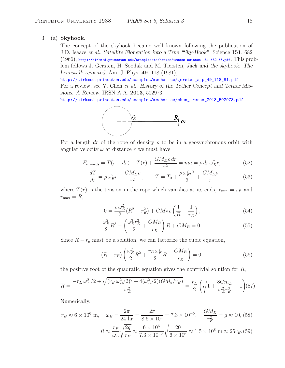#### 3. (a) **Skyhook.**

The concept of the skyhook became well known following the publication of J.D. Isaacs *et al.*, *Satellite Elongation into a True "Sky-Hook"*, Science **151**, 682  $(1966)$ , http://kirkmcd.princeton.edu/examples/mechanics/isaacs\_science\_151\_682\_66.pdf. This problem follows J. Gersten, H. Soodak and M. Tiersten, *Jack and the skyhook: The beanstalk revisited*, Am. J. Phys. **49**, 118 (1981),

http://kirkmcd.princeton.edu/examples/mechanics/gersten\_ajp\_49\_118\_81.pdf For a review, see Y. Chen *et al.*, *History of the Tether Concept and Tether Missions: A Review*, IRSN A.A. **2013**, 502973,

http://kirkmcd.princeton.edu/examples/mechanics/chen\_irsnaa\_2013\_502973.pdf



For a length dr of the rope of density  $\rho$  to be in a geosynchronous orbit with angular velocity  $\omega$  at distance r we must have,

$$
F_{\text{inwards}} = T(r + dr) - T(r) + \frac{GM_E \rho dr}{r^2} = ma = \rho dr \,\omega_E^2 r,\tag{52}
$$

$$
\frac{dT}{dr} = \rho \,\omega_E^2 r - \frac{GM_E \rho}{r^2}, \qquad T = T_0 + \frac{\rho \,\omega_E^2 r^2}{2} + \frac{GM_E \rho}{r}.
$$
\n(53)

where  $T(r)$  is the tension in the rope which vanishes at its ends,  $r_{\min} = r_E$  and  $r_{\text{max}} = R$ ,

$$
0 = \frac{\rho \,\omega_E^2}{2} (R^2 - r_E^2) + GM_E \rho \left(\frac{1}{R} - \frac{1}{r_E}\right),\tag{54}
$$

$$
\frac{\omega_E^2}{2}R^3 - \left(\frac{\omega_E^3 r_E^2}{2} + \frac{GM_E}{r_E}\right)R + GM_E = 0.
$$
\n(55)

Since  $R - r_e$  must be a solution, we can factorize the cubic equation,

$$
(R - r_E) \left( \frac{\omega_E^2}{2} R^2 + \frac{r_E \omega_E^2}{2} R - \frac{GM_E}{r_E} \right) = 0.
$$
 (56)

the positive root of the quadratic equation gives the nontrivial solution for  $R$ ,

$$
R = \frac{-r_E \omega_E^2 / 2 + \sqrt{(r_E \omega_E^2 / 2)^2 + 4(\omega_E^2 / 2)(GM_e / r_E)}}{\omega_E^2} = \frac{r_E}{2} \left( \sqrt{1 + \frac{8Gm_E}{\omega_E^2 r_E^3}} - 1 \right) (57)
$$

Numerically,

$$
r_E \approx 6 \times 10^6 \text{ m}, \quad \omega_E = \frac{2\pi}{24 \text{ hr}} = \frac{2\pi}{8.6 \times 10^4} = 7.3 \times 10^{-5}, \quad \frac{GM_E}{r_E^2} = g \approx 10, (58)
$$
  

$$
R \approx \frac{r_E}{\omega_E} \sqrt{\frac{2g}{r_E}} \approx \frac{6 \times 10^6}{7.3 \times 10^{-5}} \sqrt{\frac{20}{6 \times 10^6}} \approx 1.5 \times 10^8 \text{ m} \approx 25 r_E. (59)
$$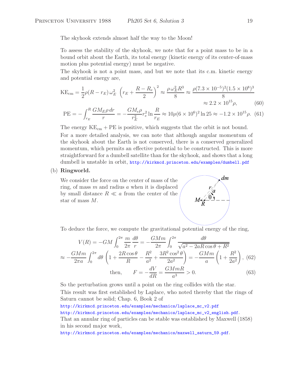The skyhook extends almost half the way to the Moon!

To assess the stability of the skyhook, we note that for a point mass to be in a bound orbit about the Earth, its total energy (kinetic energy of its center-of-mass motion plus potential energy) must be negative.

The skyhook is not a point mass, and but we note that its c.m. kinetic energy and potential energy are,

$$
KE_{cm} = \frac{1}{2}\rho(R - r_E)\omega_E^2 \left(r_E + \frac{R - R_e}{2}\right)^2 \approx \frac{\rho \omega_E^2 R^3}{8} \approx \frac{\rho(7.3 \times 10^{-5})^2 (1.5 \times 10^8)^3}{8} \approx 2.2 \times 10^{15} \rho, \tag{60}
$$

$$
PE = -\int_{r_E}^{R} \frac{GM_E \rho \, dr}{r} = -\frac{GM_e \rho}{r_E^2} r_e^2 \ln \frac{R}{r_E} \approx 10 \rho (6 \times 10^6)^2 \ln 25 \approx -1.2 \times 10^{15} \rho. \tag{61}
$$

The energy  $KE<sub>cm</sub> + PE$  is positive, which suggests that the orbit is not bound. For a more detailed analysis, we can note that although angular momentum of the skyhook about the Earth is not conserved, there is a conserved generalized momentum, which permits an effective potential to be constructed. This is more straightforward for a dumbell satellite than for the skyhook, and shows that a long dumbell is unstable in orbit, http://kirkmcd.princeton.edu/examples/dumbell.pdf

### (b) **Ringworld.**

We consider the force on the center of mass of the ring, of mass  $m$  and radius  $a$  when it is displaced by small distance  $R \ll a$  from the center of the star of mass M.



To deduce the force, we compute the gravitational potential energy of the ring,

$$
V(R) = -GM \int_0^{2\pi} \frac{m}{2\pi} \frac{d\theta}{r} = -\frac{GMm}{2\pi} \int_0^{2\pi} \frac{d\theta}{\sqrt{a^2 - 2aR\cos\theta + R^2}}
$$

$$
\approx -\frac{GMm}{2\pi a} \int_0^{2\pi} d\theta \left( 1 + \frac{2R\cos\theta}{R} - \frac{R^2}{a^2} + \frac{3R^2\cos^2\theta}{2a^2} \right) = -\frac{GMm}{a} \left( 1 + \frac{R^2}{2a^2} \right), \text{ (62)}
$$
then, 
$$
F = -\frac{dV}{dR} = \frac{GMmR}{a^3} > 0. \tag{63}
$$

So the perturbation grows until a point on the ring collides with the star. This result was first established by Laplace, who noted thereby that the rings of Saturn cannot be solid; Chap. 6, Book 2 of

http://kirkmcd.princeton.edu/examples/mechanics/laplace\_mc\_v2.pdf

http://kirkmcd.princeton.edu/examples/mechanics/laplace\_mc\_v2\_english.pdf.

That an annular ring of particles can be stable was established by Maxwell (1858) in his second major work,

http://kirkmcd.princeton.edu/examples/mechanics/maxwell\_saturn\_59.pdf.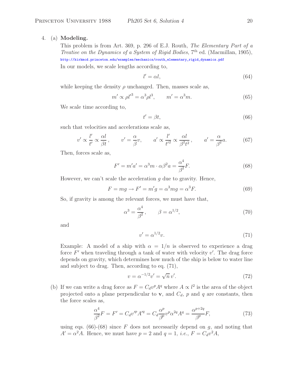### 4. (a) **Modeling.**

This problem is from Art. 369, p. 296 of E.J. Routh, *The Elementary Part of a Treatise on the Dynamics of a System of Rigid Bodies*, 7<sup>th</sup> ed. (Macmillan, 1905), http://kirkmcd.princeton.edu/examples/mechanics/routh\_elementary\_rigid\_dynamics.pdf

In our models, we scale lengths according to,

$$
l' = \alpha l,\tag{64}
$$

while keeping the density  $\rho$  unchanged. Then, masses scale as,

$$
m' \propto \rho l'^3 = \alpha^3 \rho l^3, \qquad m' = \alpha^3 m. \tag{65}
$$

We scale time according to,

$$
t' = \beta t,\tag{66}
$$

such that velocities and accelerations scale as,

$$
v' \propto \frac{l'}{t'} \propto \frac{\alpha l}{\beta t}, \qquad v' = \frac{\alpha}{\beta} v, \qquad a' \propto \frac{l'}{t'^2} \propto \frac{\alpha l}{\beta^2 t^2}, \qquad a' = \frac{\alpha}{\beta^2} a. \tag{67}
$$

Then, forces scale as,

$$
F' = m'a' = \alpha^3 m \cdot \alpha \beta^2 a = \frac{\alpha^4}{\beta^2} F.
$$
\n(68)

However, we can't scale the acceleration  $g$  due to gravity. Hence,

$$
F = mg \rightarrow F' = m'g = \alpha^3 mg = \alpha^3 F. \tag{69}
$$

So, if gravity is among the relevant forces, we must have that,

$$
\alpha^3 = \frac{\alpha^4}{\beta^2}, \qquad \beta = \alpha^{1/2}, \tag{70}
$$

and

$$
v' = \alpha^{1/2}v.\tag{71}
$$

Example: A model of a ship with  $\alpha = 1/n$  is observed to experience a drag force  $F'$  when traveling through a tank of water with velocity  $v'$ . The drag force depends on gravity, which determines how much of the ship is below to water line and subject to drag. Then, according to eq. (71),

$$
v = \alpha^{-1/2} v' = \sqrt{n} v'. \tag{72}
$$

(b) If we can write a drag force as  $F = C_d v^p A^q$  where  $A \propto l^2$  is the area of the object projected onto a plane perpendicular to **v**, and  $C_d$ , p and q are constants, then the force scales as,

$$
\frac{\alpha^4}{\beta^2}F = F' = C_d v'^p A'^q = C_d \frac{\alpha^p}{\beta^p} v^p \alpha^{2q} A^q = \frac{\alpha^{p+2q}}{\beta^p} F,\tag{73}
$$

using eqs. (66)-(68) since F does not necessarily depend on g, and noting that  $A' = \alpha^2 A$ . Hence, we must have  $p = 2$  and  $q = 1$ , *i.e.*,  $F = C_d v^2 A$ ,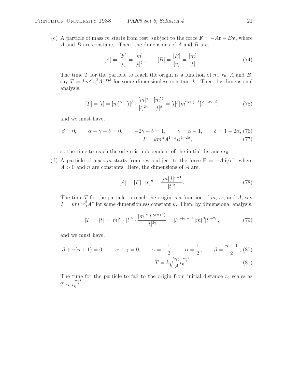(c) A particle of mass m starts from rest, subject to the force  $\mathbf{F} = -A\mathbf{r} - B\mathbf{v}$ , where A and B are constants. Then, the dimensions of A and B are,

$$
[A] = \frac{[F]}{[r]} = \frac{[m]}{[t]^2}, \qquad [B] = \frac{[F]}{[v]} = \frac{[m]}{[t]}.
$$
 (74)

The time T for the particle to reach the origin is a function of  $m$ ,  $r_0$ , A and B, say  $T = km^{\alpha} r_0^{\beta} A^{\gamma} B^{\delta}$  for some dimensionless constant k. Then, by dimensional analysis,

$$
[T] = [t] = [m]^{\alpha} \cdot [l]^{\beta} \cdot \frac{[m]^{\gamma}}{[t]^{\beta \gamma}} \cdot \frac{[m]^{\delta}}{[t]^{\delta}} = [l]^{\beta} [m]^{\alpha + \gamma + \delta} [t]^{-2\gamma - \delta}, \tag{75}
$$

and we must have,

$$
\beta = 0, \qquad \alpha + \gamma + \delta = 0, \qquad -2\gamma - \delta = 1, \qquad \gamma = \alpha - 1, \qquad \delta = 1 - 2\alpha, (76)
$$

$$
T = km^{\alpha} A^{1-\alpha} B^{1-2\alpha}, \tag{77}
$$

so the time to reach the origin is independent of the initial distance  $r_0$ .

(d) A particle of mass m starts from rest subject to the force  $\mathbf{F} = -A\hat{\mathbf{r}}/r^n$ , where  $A > 0$  and n are constants. Here, the dimensions of A are,

$$
[A] = [F] \cdot [r]^n = \frac{[m][l]^{n+1}}{[t]^2}.
$$
\n(78)

The time T for the particle to reach the origin is a function of  $m$ ,  $r_0$ , and  $A$ , say  $T = km^{\alpha} r_0^{\beta} A^{\gamma}$  for some dimensionless constant k. Then, by dimensional analysis,

$$
[T] = [t] = [m]^{\alpha} \cdot [l]^{\beta} \cdot \frac{[m]^{\gamma}[l]^{\gamma(n+1)}}{[t]^{2\gamma}} = [l]^{\alpha + \beta + n\beta} [m]^{\beta} [t]^{-2\beta}, \tag{79}
$$

and we must have,

$$
\beta + \gamma(n+1) = 0,
$$
  $\alpha + \gamma = 0,$   $\gamma = -\frac{1}{2},$   $\alpha = \frac{1}{2},$   $\beta = \frac{n+1}{2},$  (80)  

$$
T = k\sqrt{\frac{m}{A}}r_0^{\frac{n+1}{2}}.
$$
 (81)

The time for the particle to fall to the origin from initial distance  $r_0$  scales as  $T \propto r_0^{\frac{n+1}{2}}$ .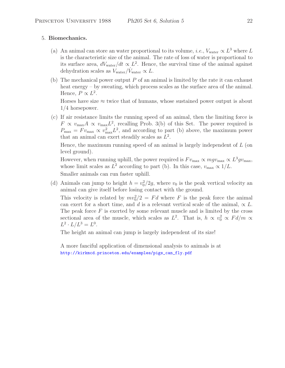# 5. **Biomechanics.**

- (a) An animal can store an water proportional to its volume, *i.e.*,  $V_{\text{water}} \propto L^3$  where L is the characteristic size of the animal. The rate of loss of water is proportional to its surface area,  $dV_{\text{water}}/dt \propto L^2$ . Hence, the survival time of the animal against dehydration scales as  $V_{\text{water}} / V_{\text{water}} \propto L$ .
- (b) The mechanical power output  $P$  of an animal is limited by the rate it can exhaust heat energy – by sweating, which process scales as the surface area of the animal. Hence,  $P \propto L^2$ .

Horses have size  $\approx$  twice that of humans, whose sustained power output is about 1/4 horsepower.

(c) If air resistance limits the running speed of an animal, then the limiting force is  $F \propto v_{\text{max}}A \propto v_{\text{max}}L^2$ , recalling Prob. 3(b) of this Set. The power required is  $P_{\text{max}} = Fv_{\text{max}} \propto v_{\text{max}}^2 L^2$ , and according to part (b) above, the maximum power that an animal can exert steadily scales as  $L^2$ .

Hence, the maximum running speed of an animal is largely independent of  $L$  (on level ground).

However, when running uphill, the power required is  $F v_{\text{max}} \propto m g v_{\text{max}} \propto L^3 g v_{\text{max}}$ , whose limit scales as  $L^2$  according to part (b). In this case,  $v_{\text{max}} \propto 1/L$ . Smaller animals can run faster uphill.

(d) Animals can jump to height  $h = v_0^2/2g$ , where  $v_0$  is the peak vertical velocity an animal can give itself before losing contact with the ground.

This velocity is related by  $mv_0^2/2 = Fd$  where F is the peak force the animal can exert for a short time, and d is a relevant vertical scale of the animal,  $\propto L$ . The peak force  $F$  is exerted by some relevant muscle and is limited by the cross sectional area of the muscle, which scales as  $L^2$ . That is,  $h \propto v_0^2 \propto F d/m \propto$  $L^2 \cdot L/L^3 = L^0$ .

The height an animal can jump is largely independent of its size!

A more fanciful application of dimensional analysis to animals is at http://kirkmcd.princeton.edu/examples/pigs\_can\_fly.pdf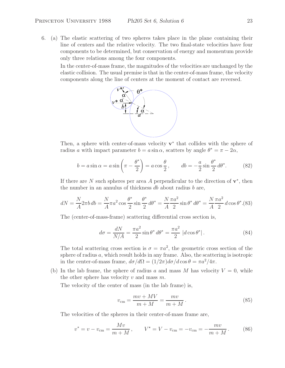6. (a) The elastic scattering of two spheres takes place in the plane containing their line of centers and the relative velocity. The two final-state velocities have four components to be determined, but conservation of energy and momentum provide only three relations among the four components.

In the center-of-mass frame, the magnitudes of the velocities are unchanged by the elastic collision. The usual premise is that in the center-of-mass frame, the velocity components along the line of centers at the moment of contact are reversed.



Then, a sphere with center-of-mass velocity **v**<sup>∗</sup> that collides with the sphere of radius a with impact parameter  $b = a \sin \alpha$ , scatters by angle  $\theta^* = \pi - 2\alpha$ ,

$$
b = a \sin \alpha = a \sin \left(\pi - \frac{\theta^*}{2}\right) = a \cos \frac{\theta}{2}, \qquad db = -\frac{a}{2} \sin \frac{\theta^*}{2} d\theta^*.
$$
 (82)

If there are N such spheres per area A perpendicular to the direction of  $\mathbf{v}^*$ , then the number in an annulus of thickness  $db$  about radius  $b$  are,

$$
dN = \frac{N}{A} 2\pi b \, db = \frac{N}{A} \pi a^2 \cos \frac{\theta^*}{2} \sin \frac{\theta^*}{2} \, d\theta^* = \frac{N}{A} \frac{\pi a^2}{2} \sin \theta^* \, d\theta^* = \frac{N}{A} \frac{\pi a^2}{2} \, d\cos \theta^* . (83)
$$

The (center-of-mass-frame) scattering differential cross section is,

$$
d\sigma = \frac{dN}{N/A} = \frac{\pi a^2}{2} \sin \theta^* d\theta^* = \frac{\pi a^2}{2} |d\cos \theta^*|.
$$
 (84)

The total scattering cross section is  $\sigma = \pi a^2$ , the geometric cross section of the sphere of radius  $a$ , which result holds in any frame. Also, the scattering is isotropic in the center-of-mass frame,  $d\sigma/d\Omega = (1/2\pi)d\sigma/d\cos\theta = \pi a^2/4\pi$ .

(b) In the lab frame, the sphere of radius a and mass M has velocity  $V = 0$ , while the other sphere has velocity  $v$  and mass  $m$ .

The velocity of the center of mass (in the lab frame) is,

$$
v_{\rm cm} = \frac{mv + MV}{m+M} = \frac{mv}{m+M}.
$$
\n(85)

The velocities of the spheres in their center-of-mass frame are,

$$
v^* = v - v_{\rm cm} = \frac{Mv}{m+M}, \qquad V^* = V - v_{\rm cm} = -v_{\rm cm} = -\frac{mv}{m+M}.
$$
 (86)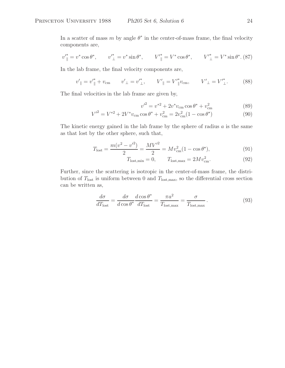In a scatter of mass m by angle  $\theta^*$  in the center-of-mass frame, the final velocity components are,

$$
v''_{\parallel} = v^* \cos \theta^*, \qquad v'^{\ast}_{\perp} = v^* \sin \theta^*, \qquad V'^{\ast}_{\parallel} = V^* \cos \theta^*, \qquad V'^{\ast}_{\perp} = V^* \sin \theta^*.
$$
 (87)

In the lab frame, the final velocity components are,

$$
v'_{\parallel} = v'^*_{\parallel} + v_{\text{cm}} \qquad v'_{\perp} = v'^*_{\perp}, \qquad V'_{\parallel} = V'^*_{\parallel} v_{\text{cm}}, \qquad V'_{\perp} = V'^*_{\perp}. \tag{88}
$$

The final velocities in the lab frame are given by,

$$
v^2 = v^{*2} + 2v^* v_{\rm cm} \cos \theta^* + v_{\rm cm}^2 \tag{89}
$$

$$
V'^{2} = V^{*2} + 2V^{*}v_{\rm cm} \cos \theta^{*} + v_{\rm cm}^{2} = 2v_{\rm cm}^{2}(1 - \cos \theta^{*})
$$
\n(90)

The kinetic energy gained in the lab frame by the sphere of radius  $a$  is the same as that lost by the other sphere, such that,

$$
T_{\text{lost}} = \frac{m(v^2 - v'^2)}{2} = \frac{MV'^2}{2} = Mv_{\text{cm}}^2(1 - \cos\theta^*),\tag{91}
$$

$$
T_{\text{lost,min}} = 0, \qquad T_{\text{lost,max}} = 2Mv_{\text{cm}}^2. \tag{92}
$$

Further, since the scattering is isotropic in the center-of-mass frame, the distribution of  $T_{\text{lost}}$  is uniform between 0 and  $T_{\text{lost,max}}$ , so the differential cross section can be written as,

$$
\frac{d\sigma}{dT_{\text{lost}}} = \frac{d\sigma}{d\cos\theta^*} \frac{d\cos\theta^*}{dT_{\text{lost}}} = \frac{\pi a^2}{T_{\text{lost,max}}} = \frac{\sigma}{T_{\text{lost,max}}}.
$$
\n(93)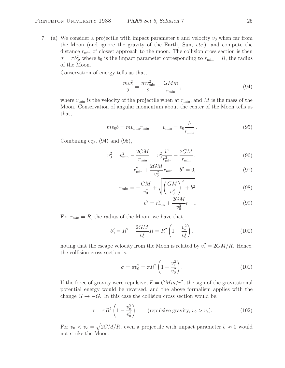7. (a) We consider a projectile with impact parameter b and velocity  $v_0$  when far from the Moon (and ignore the gravity of the Earth, Sun, *etc.*), and compute the distance  $r_{\min}$  of closest approach to the moon. The collision cross section is then  $\sigma = \pi b_0^2$ , where  $b_0$  is the impact parameter corresponding to  $r_{\min} = R$ , the radius of the Moon.

Conservation of energy tells us that,

$$
\frac{mv_0^2}{2} = \frac{mv_{\text{min}}^2}{2} - \frac{GMm}{r_{\text{min}}},\tag{94}
$$

where  $v_{\text{min}}$  is the velocity of the projectile when at  $r_{\text{min}}$ , and M is the mass of the Moon. Conservation of angular momentum about the center of the Moon tells us that,

$$
mv_0 b = m v_{\min} r_{\min}, \qquad v_{\min} = v_0 \frac{b}{r_{\min}}.
$$
\n(95)

Combining eqs.  $(94)$  and  $(95)$ ,

$$
v_0^2 = v_{\min}^2 - \frac{2GM}{r_{\min}} = v_0^2 \frac{b^2}{r_{\min}^2} - \frac{2GM}{r_{\min}}\,,\tag{96}
$$

$$
r_{\min}^2 + \frac{2GM}{v_0^2}r_{\min} - b^2 = 0,\t\t(97)
$$

$$
r_{\min} = -\frac{GM}{v_0^2} + \sqrt{\left(\frac{GM}{v_0^2}\right)^2 + b^2}.
$$
\n(98)

$$
b^2 = r_{\min}^2 + \frac{2GM}{v_0^2} r_{\min}.
$$
\n(99)

For  $r_{\min} = R$ , the radius of the Moon, we have that,

$$
b_0^2 = R^2 + \frac{2GM}{v_0^2}R = R^2 \left(1 + \frac{v_e^2}{v_0^2}\right).
$$
 (100)

noting that the escape velocity from the Moon is related by  $v_e^2 = 2GM/R$ . Hence, the collision cross section is,

$$
\sigma = \pi b_0^2 = \pi R^2 \left( 1 + \frac{v_e^2}{v_0^2} \right). \tag{101}
$$

If the force of gravity were repulsive,  $F = GMm/r^2$ , the sign of the gravitational potential energy would be reversed, and the above formalism applies with the change  $G \to -G$ . In this case the collision cross section would be,

$$
\sigma = \pi R^2 \left( 1 - \frac{v_e^2}{v_0^2} \right) \qquad \text{(repulsive gravity, } v_0 > v_e \text{)}.
$$
 (102)

For  $v_0 < v_e = \sqrt{\frac{2GM}{R}}$ , even a projectile with impact parameter  $b \approx 0$  would not strike the Moon.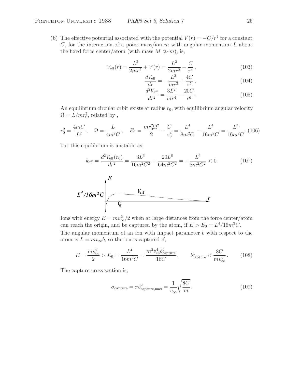(b) The effective potential associated with the potential  $V(r) = -C/r^4$  for a constant C, for the interaction of a point mass/ion  $m$  with angular momentum  $L$  about the fixed force center/atom (with mass  $M \gg m$ ), is,

$$
V_{\text{eff}}(r) = \frac{L^2}{2mr^2} + V(r) = \frac{L^2}{2mr^2} - \frac{C}{r^4},\qquad(103)
$$

$$
\frac{dV_{\text{eff}}}{dr} = -\frac{L^2}{mr^3} + \frac{4C}{r^5},\qquad(104)
$$

$$
\frac{d^2V_{\text{eff}}}{dr^2} = \frac{3L^2}{mr^4} - \frac{20C}{r^6} \,. \tag{105}
$$

An equilibrium circular orbit exists at radius  $r_0$ , with equilibrium angular velocity  $\Omega = L/mr_0^2$ , related by,

$$
r_0^2 = \frac{4mC}{L^2}, \quad \Omega = \frac{L}{4m^2C}, \quad E_0 = \frac{mr_0^2\Omega^2}{2} - \frac{C}{r_0^4} = \frac{L^4}{8m^2C} - \frac{L^4}{16m^2C} = \frac{L^4}{16m^2C}.
$$
(106)

but this equilibrium is unstable as,

$$
k_{\text{eff}} = \frac{d^2 V_{\text{eff}}(r_0)}{dr^2} = \frac{3L^6}{16m^2C^2} - \frac{20L^6}{64m^2C^2} = -\frac{L^6}{8m^2C^2} < 0. \tag{107}
$$

$$
L^4/16m^2C\frac{E}{r_0}
$$

Ions with energy  $E = mv_{\infty}^2/2$  when at large distances from the force center/atom can reach the origin, and be captured by the atom, if  $E>E_0 = L^4/16m^2C$ . The angular momentum of an ion with impact parameter  $b$  with respect to the atom is  $L = mv_{\infty}b$ , so the ion is captured if,

$$
E = \frac{mv_{\infty}^2}{2} > E_0 = \frac{L^4}{16m^2C} = \frac{m^2v_{\infty}^4b_{\text{capture}}^4}{16C}, \qquad b_{\text{capture}}^4 < \frac{8C}{mv_{\infty}^2}.
$$
 (108)

The capture cross section is,

$$
\sigma_{\text{capture}} = \pi b_{\text{capture}, \text{max}}^2 = \frac{1}{v_{\infty}} \sqrt{\frac{8C}{m}}.
$$
\n(109)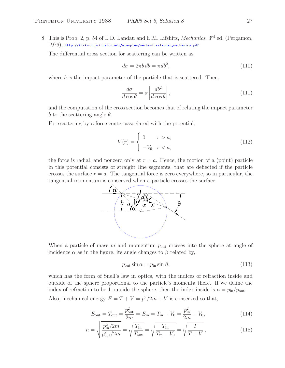8. This is Prob. 2, p. 54 of L.D. Landau and E.M. Lifshitz, *Mechanics*, 3rd ed. (Pergamon, 1976), http://kirkmcd.princeton.edu/examples/mechanics/landau\_mechanics.pdf

The differential cross section for scattering can be written as,

$$
d\sigma = 2\pi b \, db = \pi db^2,\tag{110}
$$

where  $b$  is the impact parameter of the particle that is scattered. Then,

$$
\frac{d\sigma}{d\cos\theta} = \pi \left| \frac{db^2}{d\cos\theta} \right|,\tag{111}
$$

and the computation of the cross section becomes that of relating the impact parameter b to the scattering angle  $\theta$ .

For scattering by a force center associated with the potential,

$$
V(r) = \begin{cases} 0 & r > a, \\ -V_0 & r < a, \end{cases}
$$
\n
$$
(112)
$$

the force is radial, and nonzero only at  $r = a$ . Hence, the motion of a (point) particle in this potential consists of straight line segments, that are deflected if the particle crosses the surface  $r = a$ . The tangential force is zero everywhere, so in particular, the tangential momentum is conserved when a particle crosses the surface.



When a particle of mass m and momentum  $p_{\text{out}}$  crosses into the sphere at angle of incidence  $\alpha$  as in the figure, its angle changes to  $\beta$  related by,

$$
p_{\text{out}}\sin\alpha = p_{\text{in}}\sin\beta,\tag{113}
$$

which has the form of Snell's law in optics, with the indices of refraction inside and outside of the sphere proportional to the particle's momenta there. If we define the index of refraction to be 1 outside the sphere, then the index inside is  $n = p_{\text{in}}/p_{\text{out}}$ .

Also, mechanical energy  $E = T + V = p^2/2m + V$  is conserved so that,

$$
E_{\text{out}} = T_{\text{out}} = \frac{p_{\text{out}}^2}{2m} = E_{\text{in}} = T_{\text{in}} - V_0 = \frac{p_{\text{in}}^2}{2m} - V_0,
$$
\n(114)

$$
n = \sqrt{\frac{p_{\text{in}}^2/2m}{p_{\text{out}}^2/2m}} = \sqrt{\frac{T_{\text{in}}}{T_{\text{out}}}} = \sqrt{\frac{T_{\text{in}}}{T_{\text{in}} - V_0}} = \sqrt{\frac{T}{T + V}},
$$
(115)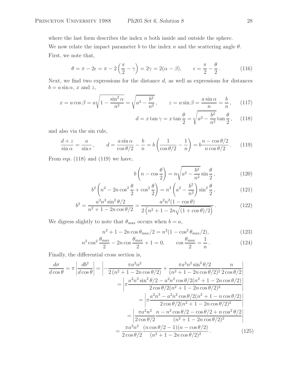where the last form describes the index  $n$  both inside and outside the sphere.

We now relate the impact parameter b to the index n and the scattering angle  $\theta$ . First, we note that,

$$
\theta = \pi - 2\epsilon = \pi - 2\left(\frac{\pi}{2} - \gamma\right) = 2\gamma = 2(\alpha - \beta), \qquad \epsilon = \frac{\pi}{2} - \frac{\theta}{2}.
$$
 (116)

Next, we find two expressions for the distance  $d$ , as well as expressions for distances  $b = a \sin \alpha$ , x and z,

$$
x = a \cos \beta = a \sqrt{1 - \frac{\sin^2 \alpha}{n^2}} = \sqrt{a^2 - \frac{b^2}{n^2}}, \qquad z = a \sin \beta = \frac{a \sin \alpha}{n} = \frac{b}{n}, \quad (117)
$$

$$
d = x \tan \gamma = x \tan \frac{\theta}{2} = \sqrt{a^2 - \frac{b^2}{n^2}} \tan \frac{\theta}{2}, \quad (118)
$$

and also via the sin rule,

$$
\frac{d+z}{\sin\alpha} = \frac{a}{\sin\epsilon}, \qquad d = \frac{a\sin\alpha}{\cos\theta/2} - \frac{b}{n} = b\left(\frac{1}{\cos\theta/2} - \frac{1}{n}\right) = b\frac{n - \cos\theta/2}{n\cos\theta/2}.
$$
 (119)

From eqs. (118) and (119) we have,

$$
b\left(n - \cos\frac{\theta}{2}\right) = n\sqrt{a^2 - \frac{b^2}{n^2}}\sin\frac{\theta}{2},\tag{120}
$$

$$
b^2 \left( n^2 - 2n \cos^2 \frac{\theta}{2} + \cos^2 \frac{\theta}{2} \right) = n^2 \left( a^2 - \frac{b^2}{n^2} \right) \sin^2 \frac{\theta}{2},
$$
 (121)

$$
b^{2} = \frac{a^{2}n^{2}\sin^{2}\theta/2}{n^{2} + 1 - 2n\cos\theta/2} = \frac{a^{2}n^{2}(1 - \cos\theta)}{2\left(n^{2} + 1 - 2n\sqrt{(1 + \cos\theta)/2}\right)}.
$$
(122)

We digress slightly to note that  $\theta_{\text{max}}$  occurs when  $b = a$ ,

$$
n^{2} + 1 - 2n \cos \theta_{\text{max}}/2 = n^{2}(1 - \cos^{2} \theta_{\text{max}}/2),
$$
\n(123)

$$
n^2 \cos^2 \frac{\theta_{\text{max}}}{2} - 2n \cos \frac{\theta_{\text{max}}}{2} + 1 = 0, \qquad \cos \frac{\theta_{\text{max}}}{2} = \frac{1}{n}. \tag{124}
$$

Finally, the differential cross section is,

$$
\frac{d\sigma}{d\cos\theta} = \pi \left| \frac{db^2}{d\cos\theta} \right| = \left| -\frac{\pi a^2 n^2}{2(n^2 + 1 - 2n\cos\theta/2)} + \frac{\pi a^2 n^2 \sin^2\theta/2}{(n^2 + 1 - 2n\cos\theta/2)^2} \frac{n}{2\cos\theta/2} \right|
$$

$$
= \left| \pi \frac{a^2 n^3 \sin^2\theta/2 - a^2 n^2 \cos\theta/2(n^2 + 1 - 2n\cos\theta/2)}{2\cos\theta/2(n^2 + 1 - 2n\cos\theta/2)^2} \right|
$$

$$
= \left| \pi \frac{a^2 n^3 - a^2 n^2 \cos\theta/2(n^2 + 1 - n\cos\theta/2)}{2\cos\theta/2(n^2 + 1 - 2n\cos\theta/2)^2} \right|
$$

$$
= \left| \frac{\pi a^2 n^2}{2\cos\theta/2} \frac{n - n^2 \cos\theta/2 - \cos\theta/2 + n\cos^2\theta/2}{(n^2 + 1 - 2n\cos\theta/2)^2} \right|
$$

$$
= \frac{\pi a^2 n^2}{2\cos\theta/2} \frac{(n\cos\theta/2 - 1)(n - \cos\theta/2)}{(n^2 + 1 - 2n\cos\theta/2)^2}.
$$
(125)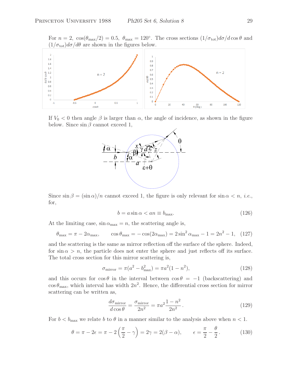For  $n = 2$ ,  $\cos(\theta_{\text{max}}/2) = 0.5$ ,  $\theta_{\text{max}} = 120^{\circ}$ . The cross sections  $(1/\sigma_{\text{tot}})d\sigma/d\cos\theta$  and  $(1/\sigma_{\rm tot})d\sigma/d\theta$  are shown in the figures below.



If  $V_0 < 0$  then angle  $\beta$  is larger than  $\alpha$ , the angle of incidence, as shown in the figure below. Since  $\sin \beta$  cannot exceed 1,



Since  $\sin \beta = (\sin \alpha)/n$  cannot exceed 1, the figure is only relevant for  $\sin \alpha < n$ , *i.e.*, for,

$$
b = a \sin \alpha < an \equiv b_{\text{max}}.\tag{126}
$$

At the limiting case,  $\sin \alpha_{\text{max}} = n$ , the scattering angle is,

$$
\theta_{\text{max}} = \pi - 2\alpha_{\text{max}}, \qquad \cos \theta_{\text{max}} = -\cos(2\alpha_{\text{max}}) = 2\sin^2 \alpha_{\text{max}} - 1 = 2n^2 - 1, \tag{127}
$$

and the scattering is the same as mirror reflection off the surface of the sphere. Indeed, for  $\sin \alpha > n$ , the particle does not enter the sphere and just reflects off its surface. The total cross section for this mirror scattering is,

$$
\sigma_{\text{mirror}} = \pi (a^2 - b_{\text{max}}^2) = \pi a^2 (1 - n^2),\tag{128}
$$

and this occurs for  $\cos \theta$  in the interval between  $\cos \theta = -1$  (backscattering) and  $\cos \theta_{\text{max}}$ , which interval has width  $2n^2$ . Hence, the differential cross section for mirror scattering can be written as,

$$
\frac{d\sigma_{\text{mirror}}}{d\cos\theta} = \frac{\sigma_{\text{mirror}}}{2n^2} = \pi a^2 \frac{1 - n^2}{2n^2}.
$$
\n(129)

For  $b < b_{\text{max}}$  we relate b to  $\theta$  in a manner similar to the analysis above when  $n < 1$ .

$$
\theta = \pi - 2\epsilon = \pi - 2\left(\frac{\pi}{2} - \gamma\right) = 2\gamma = 2(\beta - \alpha), \qquad \epsilon = \frac{\pi}{2} - \frac{\theta}{2}.
$$
 (130)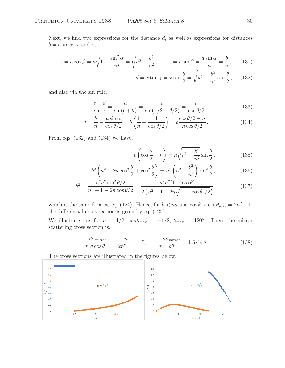Next, we find two expressions for the distance  $d$ , as well as expressions for distances  $b = a \sin \alpha$ , x and z,

$$
x = a\cos\beta = a\sqrt{1 - \frac{\sin^2\alpha}{n^2}} = \sqrt{a^2 - \frac{b^2}{n^2}}, \qquad z = a\sin\beta = \frac{a\sin\alpha}{n} = \frac{b}{n}, \qquad (131)
$$

$$
d = x \tan \gamma = x \tan \frac{\theta}{2} = \sqrt{a^2 - \frac{b^2}{n^2}} \tan \frac{\theta}{2}, \quad (132)
$$

and also via the sin rule,

$$
\frac{z-d}{\sin\alpha} = \frac{a}{\sin(\epsilon+\theta)} = \frac{a}{\sin(\pi/2+\theta/2)} = \frac{a}{\cos\theta/2},
$$
\n(133)

$$
d = \frac{b}{n} - \frac{a \sin \alpha}{\cos \theta/2} = b \left( \frac{1}{n} - \frac{1}{\cos \theta/2} \right) = b \frac{\cos \theta/2 - n}{n \cos \theta/2}.
$$
 (134)

From eqs. (132) and (134) we have,

$$
b\left(\cos\frac{\theta}{2} - n\right) = n\sqrt{a^2 - \frac{b^2}{n^2}}\sin\frac{\theta}{2},\tag{135}
$$

$$
b^{2}\left(n^{2}-2n\cos^{2}\frac{\theta}{2}+\cos^{2}\frac{\theta}{2}\right)=n^{2}\left(a^{2}-\frac{b^{2}}{n^{2}}\right)\sin^{2}\frac{\theta}{2},
$$
\n(136)

$$
b^{2} = \frac{a^{2}n^{2}\sin^{2}\theta/2}{n^{2} + 1 - 2n\cos\theta/2} = \frac{a^{2}n^{2}(1 - \cos\theta)}{2\left(n^{2} + 1 - 2n\sqrt{(1 + \cos\theta)/2}\right)},
$$
(137)

which is the same form as eq. (124). Hence, for  $b < na$  and  $\cos \theta > \cos \theta_{\text{max}} = 2n^2 - 1$ , the differential cross section is given by eq. (125).

We illustrate this for  $n = 1/2$ ,  $\cos \theta_{\text{max}} = -1/2$ ,  $\theta_{\text{max}} = 120^{\circ}$ . Then, the mirror scattering cross section is,

$$
\frac{1}{\sigma} \frac{d\sigma_{\text{mirror}}}{d\cos\theta} = \frac{1 - n^2}{2n^2} = 1.5, \qquad \frac{1}{\sigma} \frac{d\sigma_{\text{mirror}}}{d\theta} = 1.5 \sin\theta,\tag{138}
$$

The cross sections are illustrated in the figures below.

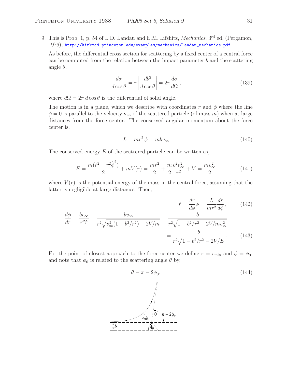9. This is Prob. 1, p. 54 of L.D. Landau and E.M. Lifshitz, *Mechanics*, 3rd ed. (Pergamon, 1976), http://kirkmcd.princeton.edu/examples/mechanics/landau\_mechanics.pdf.

As before, the differential cross section for scattering by a fixed center of a central force can be computed from the relation between the impact parameter  $b$  and the scattering angle  $\theta$ ,

$$
\frac{d\sigma}{d\cos\theta} = \pi \left| \frac{db^2}{d\cos\theta} \right| = 2\pi \frac{d\sigma}{d\Omega},\qquad(139)
$$

where  $d\Omega = 2\pi d \cos \theta$  is the differential of solid angle.

The motion is in a plane, which we describe with coordinates r and  $\phi$  where the line  $\phi = 0$  is parallel to the velocity **v**<sub>∞</sub> of the scattered particle (of mass m) when at large distances from the force center. The conserved angular momentum about the force center is,

$$
L = mr^2 \dot{\phi} = mbv_{\infty}
$$
\n(140)

The conserved energy  $E$  of the scattered particle can be written as,

$$
E = \frac{m(\dot{r}^2 + r^2 \dot{\phi}^2)}{2} + mV(r) = \frac{m\dot{r}^2}{2} + \frac{m}{2}\frac{b^2v_{\infty}^2}{r^2} + V = \frac{mv_{\infty}^2}{2}
$$
(141)

where  $V(r)$  is the potential energy of the mass in the central force, assuming that the latter is negligible at large distances. Then,

$$
\dot{r} = \frac{dr}{d\phi}\dot{\phi} = \frac{L}{mr^2}\frac{dr}{d\phi},\qquad(142)
$$

$$
\frac{d\phi}{dr} = \frac{bv_{\infty}}{r^2 \dot{r}} = \frac{bv_{\infty}}{r^2 \sqrt{v_{\infty}^2 (1 - b^2/r^2) - 2V/m}} = \frac{b}{r^2 \sqrt{1 - b^2/r^2 - 2V/mv_{\infty}^2}}
$$
\n
$$
= \frac{b}{r^2 \sqrt{1 - b^2/r^2 - 2V/E}}.
$$
\n(143)

For the point of closest approach to the force center we define  $r = r_{\text{min}}$  and  $\phi = \phi_0$ , and note that  $\phi_0$  is related to the scattering angle  $\theta$  by,

$$
\theta - \pi - 2\phi_0.
$$
\n
$$
\begin{array}{c}\n\downarrow \\
\downarrow \\
\downarrow \\
\downarrow \\
\hline\n\downarrow \\
\hline\n\downarrow \\
\hline\n\downarrow \\
\hline\n\downarrow \\
\hline\n\downarrow \\
\hline\n\downarrow \\
\hline\n\downarrow \\
\hline\n\downarrow \\
\hline\n\downarrow \\
\hline\n\downarrow \\
\hline\n\downarrow \\
\hline\n\downarrow \\
\hline\n\downarrow \\
\hline\n\downarrow \\
\hline\n\downarrow \\
\hline\n\downarrow \\
\hline\n\downarrow \\
\hline\n\downarrow \\
\hline\n\downarrow \\
\hline\n\downarrow \\
\hline\n\downarrow \\
\hline\n\downarrow \\
\hline\n\downarrow \\
\hline\n\downarrow \\
\hline\n\downarrow \\
\hline\n\downarrow \\
\hline\n\downarrow \\
\hline\n\downarrow \\
\hline\n\downarrow \\
\hline\n\downarrow \\
\hline\n\downarrow \\
\hline\n\downarrow \\
\hline\n\downarrow \\
\hline\n\downarrow \\
\hline\n\downarrow \\
\hline\n\downarrow \\
\hline\n\downarrow \\
\hline\n\downarrow \\
\hline\n\downarrow \\
\hline\n\downarrow \\
\hline\n\downarrow \\
\hline\n\downarrow \\
\hline\n\downarrow \\
\hline\n\downarrow \\
\hline\n\downarrow \\
\hline\n\downarrow \\
\hline\n\downarrow \\
\hline\n\downarrow \\
\hline\n\downarrow \\
\hline\n\downarrow \\
\hline\n\downarrow \\
\hline\n\downarrow \\
\hline\n\downarrow \\
\hline\n\downarrow \\
\hline\n\downarrow \\
\hline\n\downarrow \\
\hline\n\downarrow \\
\hline\n\downarrow \\
\hline\n\downarrow \\
\hline\n\downarrow \\
\hline\n\downarrow \\
\hline\n\downarrow \\
\hline\n\downarrow \\
\hline\n\downarrow \\
\hline\n\downarrow \\
\hline\n\downarrow \\
\hline\n\downarrow \\
\hline\n\downarrow \\
\hline\n\downarrow \\
\hline\n\downarrow \\
\hline\n\downarrow \\
\hline\n\downarrow \\
\hline\n\downarrow \\
\hline\n\downarrow \\
\hline\n\downarrow \\
\hline\n\downarrow \\
\hline\n\downarrow \\
\hline\n\downarrow \\
\hline\n\downarrow \\
\hline\n\downarrow \\
\hline\n\downarrow \\
\hline\n\downarrow \\
\hline\n\downarrow \\
\hline\n\downarrow \\
\hline\n\downarrow \\
\hline\n\downarrow \\
\hline\n\downarrow \\
\hline\n\downarrow \\
\hline\n\downarrow \\
\hline
$$